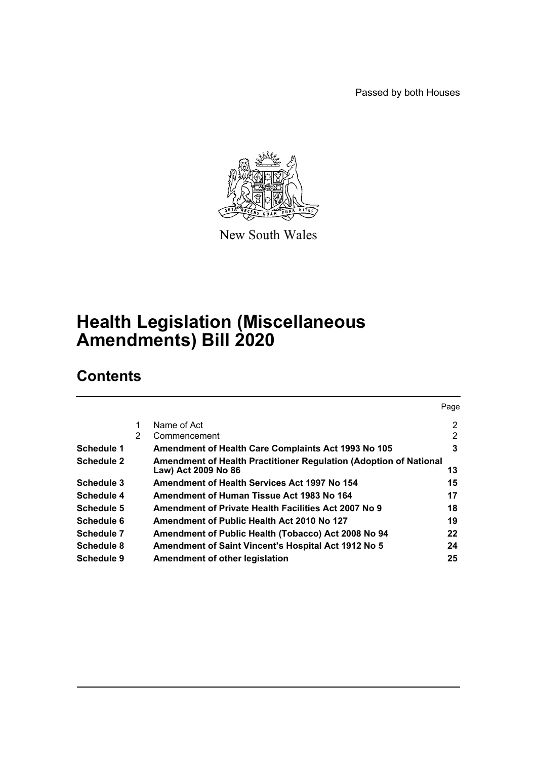Passed by both Houses

Page



New South Wales

# **Health Legislation (Miscellaneous Amendments) Bill 2020**

# **Contents**

|                   |   |                                                                                          | Page           |
|-------------------|---|------------------------------------------------------------------------------------------|----------------|
|                   |   | Name of Act                                                                              | $\overline{2}$ |
|                   | 2 | Commencement                                                                             | 2              |
| Schedule 1        |   | <b>Amendment of Health Care Complaints Act 1993 No 105</b>                               | 3              |
| <b>Schedule 2</b> |   | Amendment of Health Practitioner Regulation (Adoption of National<br>Law) Act 2009 No 86 | 13             |
| Schedule 3        |   | Amendment of Health Services Act 1997 No 154                                             | 15             |
| Schedule 4        |   | Amendment of Human Tissue Act 1983 No 164                                                | 17             |
| Schedule 5        |   | Amendment of Private Health Facilities Act 2007 No 9                                     | 18             |
| Schedule 6        |   | Amendment of Public Health Act 2010 No 127                                               | 19             |
| Schedule 7        |   | Amendment of Public Health (Tobacco) Act 2008 No 94                                      | 22             |
| Schedule 8        |   | <b>Amendment of Saint Vincent's Hospital Act 1912 No 5</b>                               | 24             |
| Schedule 9        |   | Amendment of other legislation                                                           | 25             |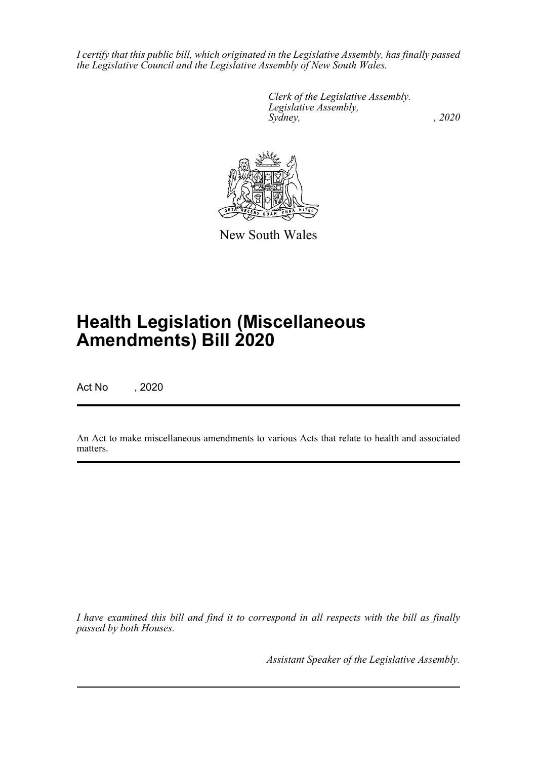*I certify that this public bill, which originated in the Legislative Assembly, has finally passed the Legislative Council and the Legislative Assembly of New South Wales.*

> *Clerk of the Legislative Assembly. Legislative Assembly, Sydney, , 2020*



New South Wales

# **Health Legislation (Miscellaneous Amendments) Bill 2020**

Act No , 2020

An Act to make miscellaneous amendments to various Acts that relate to health and associated matters.

*I have examined this bill and find it to correspond in all respects with the bill as finally passed by both Houses.*

*Assistant Speaker of the Legislative Assembly.*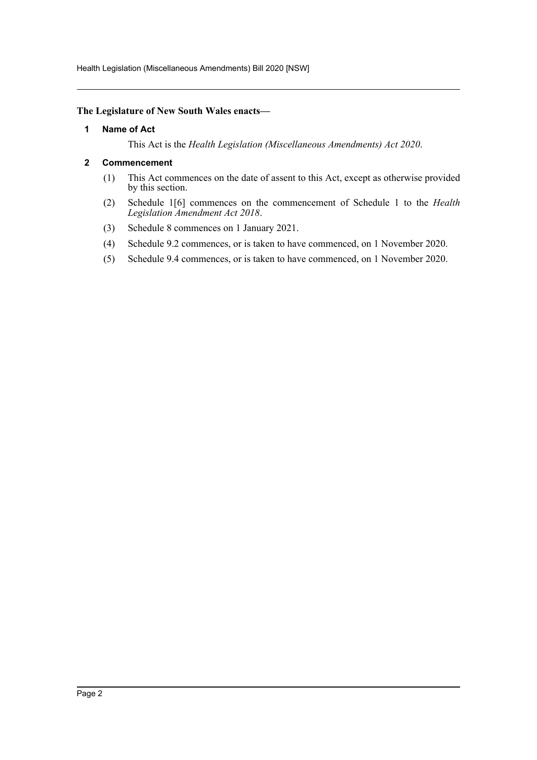Health Legislation (Miscellaneous Amendments) Bill 2020 [NSW]

#### <span id="page-2-0"></span>**The Legislature of New South Wales enacts—**

#### **1 Name of Act**

This Act is the *Health Legislation (Miscellaneous Amendments) Act 2020*.

#### <span id="page-2-1"></span>**2 Commencement**

- (1) This Act commences on the date of assent to this Act, except as otherwise provided by this section.
- (2) Schedule 1[6] commences on the commencement of Schedule 1 to the *Health Legislation Amendment Act 2018*.
- (3) Schedule 8 commences on 1 January 2021.
- (4) Schedule 9.2 commences, or is taken to have commenced, on 1 November 2020.
- (5) Schedule 9.4 commences, or is taken to have commenced, on 1 November 2020.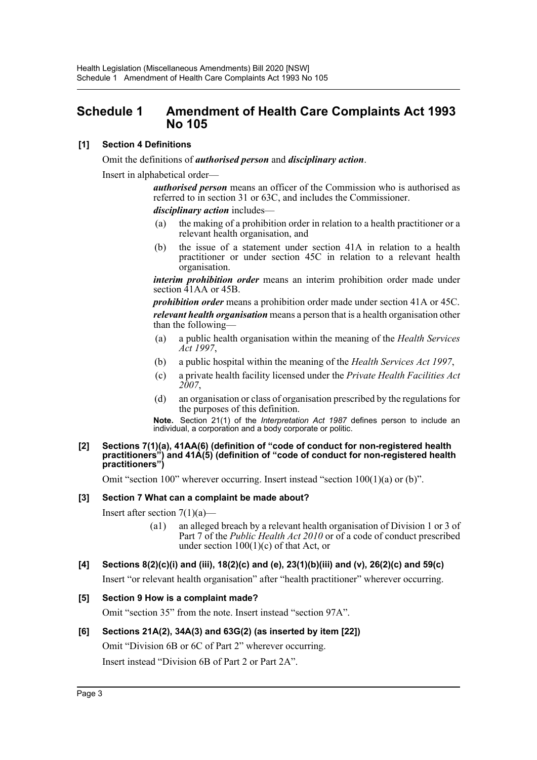# <span id="page-3-0"></span>**Schedule 1 Amendment of Health Care Complaints Act 1993 No 105**

# **[1] Section 4 Definitions**

Omit the definitions of *authorised person* and *disciplinary action*.

Insert in alphabetical order—

*authorised person* means an officer of the Commission who is authorised as referred to in section 31 or 63C, and includes the Commissioner. *disciplinary action* includes—

(a) the making of a prohibition order in relation to a health practitioner or a relevant health organisation, and

(b) the issue of a statement under section 41A in relation to a health practitioner or under section 45C in relation to a relevant health organisation.

*interim prohibition order* means an interim prohibition order made under section 41AA or 45B.

*prohibition order* means a prohibition order made under section 41A or 45C. *relevant health organisation* means a person that is a health organisation other than the following—

- (a) a public health organisation within the meaning of the *Health Services Act 1997*,
- (b) a public hospital within the meaning of the *Health Services Act 1997*,
- (c) a private health facility licensed under the *Private Health Facilities Act 2007*,
- (d) an organisation or class of organisation prescribed by the regulations for the purposes of this definition.

**Note.** Section 21(1) of the *Interpretation Act 1987* defines person to include an individual, a corporation and a body corporate or politic.

#### **[2] Sections 7(1)(a), 41AA(6) (definition of "code of conduct for non-registered health practitioners") and 41A(5) (definition of "code of conduct for non-registered health practitioners")**

Omit "section 100" wherever occurring. Insert instead "section 100(1)(a) or (b)".

#### **[3] Section 7 What can a complaint be made about?**

Insert after section  $7(1)(a)$ —

(a1) an alleged breach by a relevant health organisation of Division 1 or 3 of Part 7 of the *Public Health Act 2010* or of a code of conduct prescribed under section  $100(1)(c)$  of that Act, or

# **[4] Sections 8(2)(c)(i) and (iii), 18(2)(c) and (e), 23(1)(b)(iii) and (v), 26(2)(c) and 59(c)**

Insert "or relevant health organisation" after "health practitioner" wherever occurring.

# **[5] Section 9 How is a complaint made?**

Omit "section 35" from the note. Insert instead "section 97A".

# **[6] Sections 21A(2), 34A(3) and 63G(2) (as inserted by item [22])**

Omit "Division 6B or 6C of Part 2" wherever occurring.

Insert instead "Division 6B of Part 2 or Part 2A".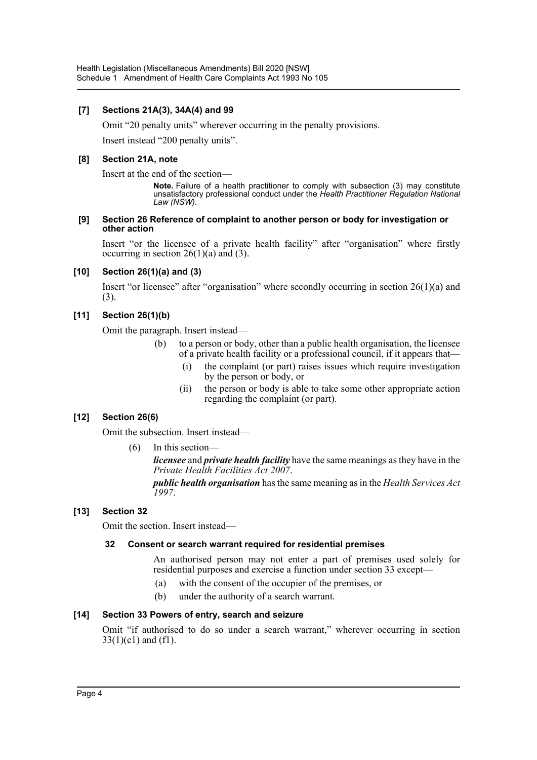# **[7] Sections 21A(3), 34A(4) and 99**

Omit "20 penalty units" wherever occurring in the penalty provisions.

Insert instead "200 penalty units".

#### **[8] Section 21A, note**

Insert at the end of the section—

**Note.** Failure of a health practitioner to comply with subsection (3) may constitute unsatisfactory professional conduct under the *Health Practitioner Regulation National Law (NSW)*.

#### **[9] Section 26 Reference of complaint to another person or body for investigation or other action**

Insert "or the licensee of a private health facility" after "organisation" where firstly occurring in section  $26(1)(a)$  and (3).

#### **[10] Section 26(1)(a) and (3)**

Insert "or licensee" after "organisation" where secondly occurring in section  $26(1)(a)$  and (3).

# **[11] Section 26(1)(b)**

Omit the paragraph. Insert instead—

- (b) to a person or body, other than a public health organisation, the licensee of a private health facility or a professional council, if it appears that—
	- (i) the complaint (or part) raises issues which require investigation by the person or body, or
	- (ii) the person or body is able to take some other appropriate action regarding the complaint (or part).

# **[12] Section 26(6)**

Omit the subsection. Insert instead—

(6) In this section—

*licensee* and *private health facility* have the same meanings as they have in the *Private Health Facilities Act 2007*.

*public health organisation* has the same meaning as in the *Health Services Act 1997*.

# **[13] Section 32**

Omit the section. Insert instead—

#### **32 Consent or search warrant required for residential premises**

An authorised person may not enter a part of premises used solely for residential purposes and exercise a function under section 33 except—

- (a) with the consent of the occupier of the premises, or
- (b) under the authority of a search warrant.

# **[14] Section 33 Powers of entry, search and seizure**

Omit "if authorised to do so under a search warrant," wherever occurring in section  $33(1)(c1)$  and  $(f1)$ .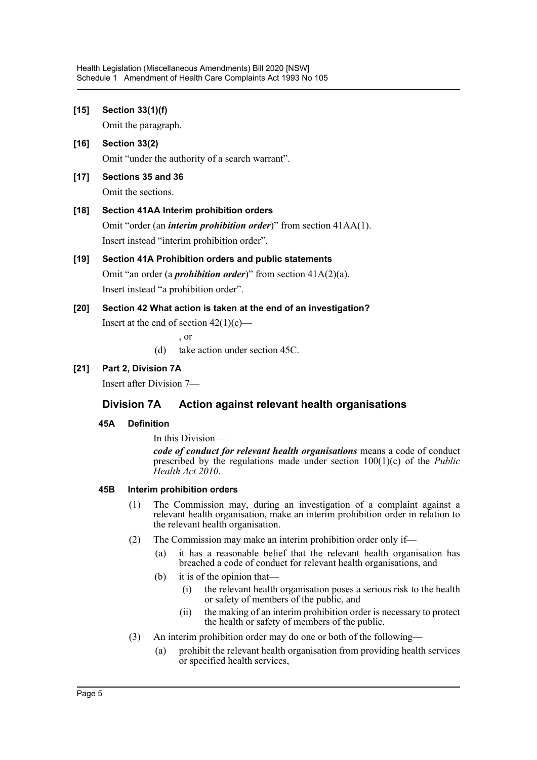| $[15]$ | Section 33(1)(f)                                                                                                                                                                   |
|--------|------------------------------------------------------------------------------------------------------------------------------------------------------------------------------------|
|        | Omit the paragraph.                                                                                                                                                                |
| $[16]$ | Section 33(2)                                                                                                                                                                      |
|        | Omit "under the authority of a search warrant".                                                                                                                                    |
| $[17]$ | Sections 35 and 36                                                                                                                                                                 |
|        | Omit the sections.                                                                                                                                                                 |
| $[18]$ | Section 41AA Interim prohibition orders                                                                                                                                            |
|        | Omit "order (an <i>interim prohibition order</i> )" from section 41AA(1).                                                                                                          |
|        | Insert instead "interim prohibition order".                                                                                                                                        |
| [19]   | Section 41A Prohibition orders and public statements                                                                                                                               |
|        | Omit "an order (a <i>prohibition order</i> )" from section $41A(2)(a)$ .                                                                                                           |
|        | Insert instead "a prohibition order".                                                                                                                                              |
| [20]   | Section 42 What action is taken at the end of an investigation?                                                                                                                    |
|        | Insert at the end of section $42(1)(c)$ —                                                                                                                                          |
|        | , or                                                                                                                                                                               |
|        | take action under section 45C.<br>(d)                                                                                                                                              |
| $[21]$ | Part 2, Division 7A                                                                                                                                                                |
|        | Insert after Division 7—                                                                                                                                                           |
|        | Action against relevant health organisations<br><b>Division 7A</b>                                                                                                                 |
|        | 45A<br><b>Definition</b>                                                                                                                                                           |
|        | In this Division—                                                                                                                                                                  |
|        | code of conduct for relevant health organisations means a code of conduct<br>prescribed by the regulations made under section $100(1)(c)$ of the <i>Public</i><br>Health Act 2010. |
|        |                                                                                                                                                                                    |

# **45B Interim prohibition orders**

- (1) The Commission may, during an investigation of a complaint against a relevant health organisation, make an interim prohibition order in relation to the relevant health organisation.
- (2) The Commission may make an interim prohibition order only if—
	- (a) it has a reasonable belief that the relevant health organisation has breached a code of conduct for relevant health organisations, and
	- (b) it is of the opinion that—
		- (i) the relevant health organisation poses a serious risk to the health or safety of members of the public, and
		- (ii) the making of an interim prohibition order is necessary to protect the health or safety of members of the public.
- (3) An interim prohibition order may do one or both of the following—
	- (a) prohibit the relevant health organisation from providing health services or specified health services,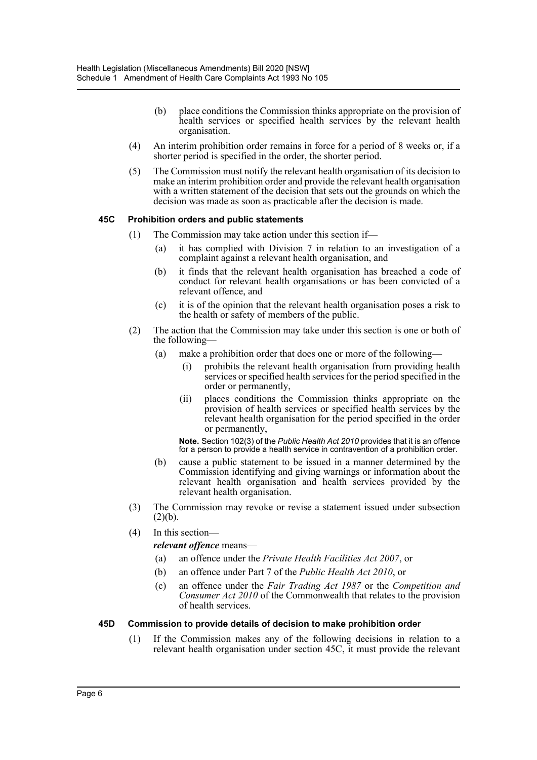- (b) place conditions the Commission thinks appropriate on the provision of health services or specified health services by the relevant health organisation.
- (4) An interim prohibition order remains in force for a period of 8 weeks or, if a shorter period is specified in the order, the shorter period.
- (5) The Commission must notify the relevant health organisation of its decision to make an interim prohibition order and provide the relevant health organisation with a written statement of the decision that sets out the grounds on which the decision was made as soon as practicable after the decision is made.

## **45C Prohibition orders and public statements**

- (1) The Commission may take action under this section if—
	- (a) it has complied with Division 7 in relation to an investigation of a complaint against a relevant health organisation, and
	- (b) it finds that the relevant health organisation has breached a code of conduct for relevant health organisations or has been convicted of a relevant offence, and
	- (c) it is of the opinion that the relevant health organisation poses a risk to the health or safety of members of the public.
- (2) The action that the Commission may take under this section is one or both of the following—
	- (a) make a prohibition order that does one or more of the following—
		- (i) prohibits the relevant health organisation from providing health services or specified health services for the period specified in the order or permanently,
		- (ii) places conditions the Commission thinks appropriate on the provision of health services or specified health services by the relevant health organisation for the period specified in the order or permanently,

**Note.** Section 102(3) of the *Public Health Act 2010* provides that it is an offence for a person to provide a health service in contravention of a prohibition order.

- (b) cause a public statement to be issued in a manner determined by the Commission identifying and giving warnings or information about the relevant health organisation and health services provided by the relevant health organisation.
- (3) The Commission may revoke or revise a statement issued under subsection  $(2)(b).$
- (4) In this section—

#### *relevant offence* means—

- (a) an offence under the *Private Health Facilities Act 2007*, or
- (b) an offence under Part 7 of the *Public Health Act 2010*, or
- (c) an offence under the *Fair Trading Act 1987* or the *Competition and Consumer Act 2010* of the Commonwealth that relates to the provision of health services.

#### **45D Commission to provide details of decision to make prohibition order**

(1) If the Commission makes any of the following decisions in relation to a relevant health organisation under section 45C, it must provide the relevant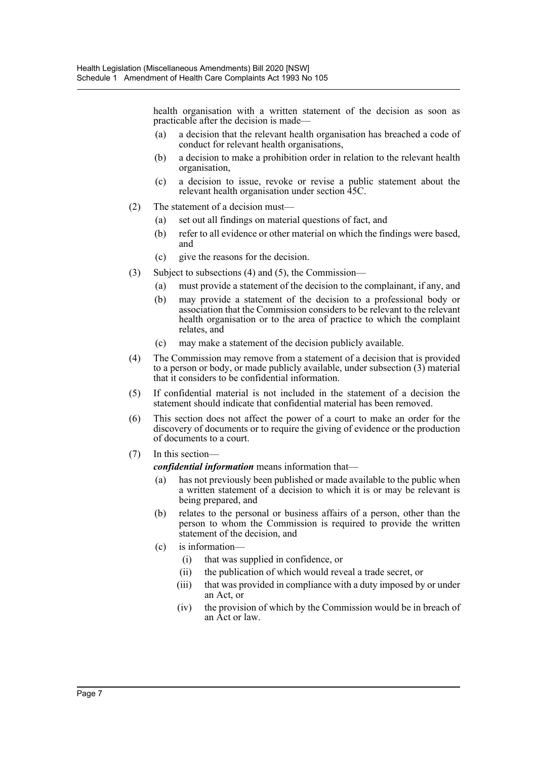health organisation with a written statement of the decision as soon as practicable after the decision is made—

- (a) a decision that the relevant health organisation has breached a code of conduct for relevant health organisations,
- (b) a decision to make a prohibition order in relation to the relevant health organisation,
- (c) a decision to issue, revoke or revise a public statement about the relevant health organisation under section 45C.
- (2) The statement of a decision must—
	- (a) set out all findings on material questions of fact, and
	- (b) refer to all evidence or other material on which the findings were based, and
	- (c) give the reasons for the decision.
- (3) Subject to subsections (4) and (5), the Commission—
	- (a) must provide a statement of the decision to the complainant, if any, and
	- (b) may provide a statement of the decision to a professional body or association that the Commission considers to be relevant to the relevant health organisation or to the area of practice to which the complaint relates, and
	- (c) may make a statement of the decision publicly available.
- (4) The Commission may remove from a statement of a decision that is provided to a person or body, or made publicly available, under subsection (3) material that it considers to be confidential information.
- (5) If confidential material is not included in the statement of a decision the statement should indicate that confidential material has been removed.
- (6) This section does not affect the power of a court to make an order for the discovery of documents or to require the giving of evidence or the production of documents to a court.
- (7) In this section—

*confidential information* means information that—

- (a) has not previously been published or made available to the public when a written statement of a decision to which it is or may be relevant is being prepared, and
- (b) relates to the personal or business affairs of a person, other than the person to whom the Commission is required to provide the written statement of the decision, and
- (c) is information—
	- (i) that was supplied in confidence, or
	- (ii) the publication of which would reveal a trade secret, or
	- (iii) that was provided in compliance with a duty imposed by or under an Act, or
	- (iv) the provision of which by the Commission would be in breach of an Act or law.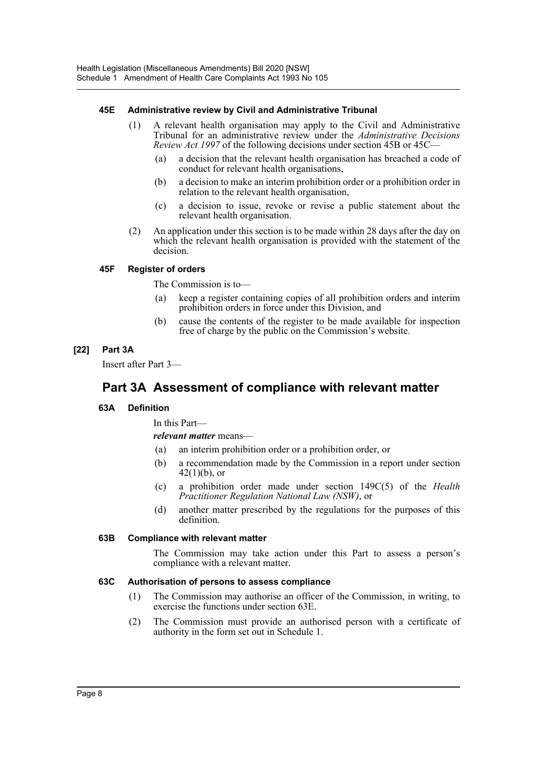## **45E Administrative review by Civil and Administrative Tribunal**

- (1) A relevant health organisation may apply to the Civil and Administrative Tribunal for an administrative review under the *Administrative Decisions Review Act 1997* of the following decisions under section 45B or 45C—
	- (a) a decision that the relevant health organisation has breached a code of conduct for relevant health organisations,
	- (b) a decision to make an interim prohibition order or a prohibition order in relation to the relevant health organisation,
	- (c) a decision to issue, revoke or revise a public statement about the relevant health organisation.
- (2) An application under this section is to be made within 28 days after the day on which the relevant health organisation is provided with the statement of the decision.

## **45F Register of orders**

The Commission is to—

- (a) keep a register containing copies of all prohibition orders and interim prohibition orders in force under this Division, and
- (b) cause the contents of the register to be made available for inspection free of charge by the public on the Commission's website.

# **[22] Part 3A**

Insert after Part 3—

# **Part 3A Assessment of compliance with relevant matter**

# **63A Definition**

In this Part—

#### *relevant matter* means—

- (a) an interim prohibition order or a prohibition order, or
- (b) a recommendation made by the Commission in a report under section  $42(1)(b)$ , or
- (c) a prohibition order made under section 149C(5) of the *Health Practitioner Regulation National Law (NSW)*, or
- (d) another matter prescribed by the regulations for the purposes of this definition.

#### **63B Compliance with relevant matter**

The Commission may take action under this Part to assess a person's compliance with a relevant matter.

#### **63C Authorisation of persons to assess compliance**

- (1) The Commission may authorise an officer of the Commission, in writing, to exercise the functions under section 63E.
- (2) The Commission must provide an authorised person with a certificate of authority in the form set out in Schedule 1.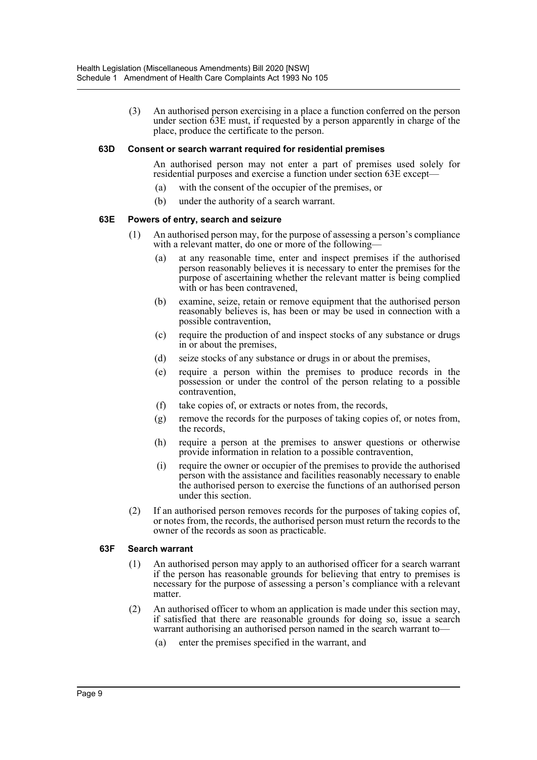(3) An authorised person exercising in a place a function conferred on the person under section 63E must, if requested by a person apparently in charge of the place, produce the certificate to the person.

#### **63D Consent or search warrant required for residential premises**

An authorised person may not enter a part of premises used solely for residential purposes and exercise a function under section 63E except—

- (a) with the consent of the occupier of the premises, or
- (b) under the authority of a search warrant.

#### **63E Powers of entry, search and seizure**

- (1) An authorised person may, for the purpose of assessing a person's compliance with a relevant matter, do one or more of the following-
	- (a) at any reasonable time, enter and inspect premises if the authorised person reasonably believes it is necessary to enter the premises for the purpose of ascertaining whether the relevant matter is being complied with or has been contravened,
	- (b) examine, seize, retain or remove equipment that the authorised person reasonably believes is, has been or may be used in connection with a possible contravention,
	- (c) require the production of and inspect stocks of any substance or drugs in or about the premises,
	- (d) seize stocks of any substance or drugs in or about the premises,
	- (e) require a person within the premises to produce records in the possession or under the control of the person relating to a possible contravention,
	- (f) take copies of, or extracts or notes from, the records,
	- (g) remove the records for the purposes of taking copies of, or notes from, the records,
	- (h) require a person at the premises to answer questions or otherwise provide information in relation to a possible contravention,
	- (i) require the owner or occupier of the premises to provide the authorised person with the assistance and facilities reasonably necessary to enable the authorised person to exercise the functions of an authorised person under this section.
- (2) If an authorised person removes records for the purposes of taking copies of, or notes from, the records, the authorised person must return the records to the owner of the records as soon as practicable.

#### **63F Search warrant**

- (1) An authorised person may apply to an authorised officer for a search warrant if the person has reasonable grounds for believing that entry to premises is necessary for the purpose of assessing a person's compliance with a relevant matter.
- (2) An authorised officer to whom an application is made under this section may, if satisfied that there are reasonable grounds for doing so, issue a search warrant authorising an authorised person named in the search warrant to—
	- (a) enter the premises specified in the warrant, and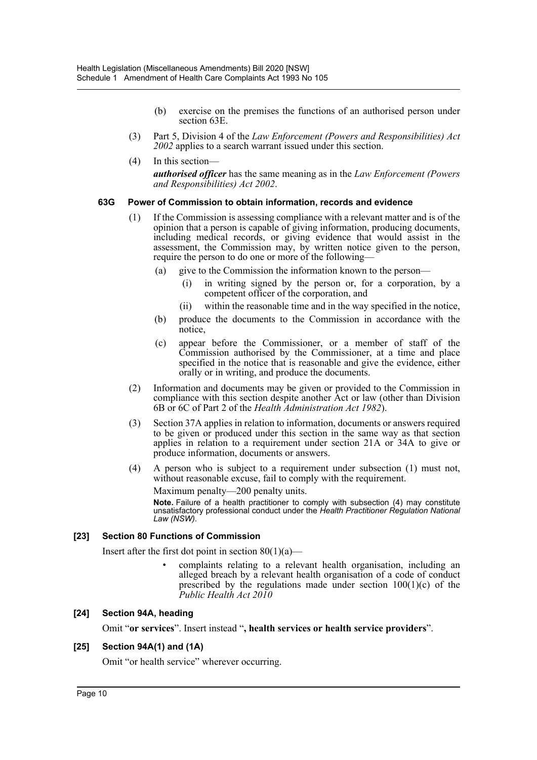- (b) exercise on the premises the functions of an authorised person under section 63E.
- (3) Part 5, Division 4 of the *Law Enforcement (Powers and Responsibilities) Act 2002* applies to a search warrant issued under this section.
- (4) In this section—

*authorised officer* has the same meaning as in the *Law Enforcement (Powers and Responsibilities) Act 2002*.

#### **63G Power of Commission to obtain information, records and evidence**

- (1) If the Commission is assessing compliance with a relevant matter and is of the opinion that a person is capable of giving information, producing documents, including medical records, or giving evidence that would assist in the assessment, the Commission may, by written notice given to the person, require the person to do one or more of the following—
	- (a) give to the Commission the information known to the person—
		- (i) in writing signed by the person or, for a corporation, by a competent officer of the corporation, and
		- (ii) within the reasonable time and in the way specified in the notice,
	- (b) produce the documents to the Commission in accordance with the notice,
	- (c) appear before the Commissioner, or a member of staff of the Commission authorised by the Commissioner, at a time and place specified in the notice that is reasonable and give the evidence, either orally or in writing, and produce the documents.
- (2) Information and documents may be given or provided to the Commission in compliance with this section despite another Act or law (other than Division 6B or 6C of Part 2 of the *Health Administration Act 1982*).
- (3) Section 37A applies in relation to information, documents or answers required to be given or produced under this section in the same way as that section applies in relation to a requirement under section 21A or 34A to give or produce information, documents or answers.
- (4) A person who is subject to a requirement under subsection (1) must not, without reasonable excuse, fail to comply with the requirement.

Maximum penalty—200 penalty units.

**Note.** Failure of a health practitioner to comply with subsection (4) may constitute unsatisfactory professional conduct under the *Health Practitioner Regulation National Law (NSW)*.

#### **[23] Section 80 Functions of Commission**

Insert after the first dot point in section  $80(1)(a)$ —

• complaints relating to a relevant health organisation, including an alleged breach by a relevant health organisation of a code of conduct prescribed by the regulations made under section  $100(1)(c)$  of the *Public Health Act 2010*

#### **[24] Section 94A, heading**

Omit "**or services**". Insert instead "**, health services or health service providers**".

# **[25] Section 94A(1) and (1A)**

Omit "or health service" wherever occurring.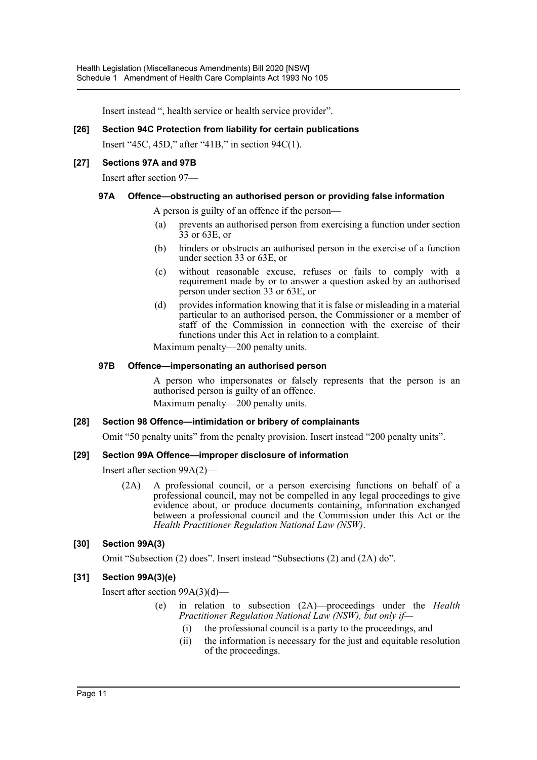Insert instead ", health service or health service provider".

#### **[26] Section 94C Protection from liability for certain publications**

Insert "45C, 45D," after "41B," in section 94C(1).

#### **[27] Sections 97A and 97B**

Insert after section 97—

#### **97A Offence—obstructing an authorised person or providing false information**

A person is guilty of an offence if the person—

- (a) prevents an authorised person from exercising a function under section 33 or 63E, or
- (b) hinders or obstructs an authorised person in the exercise of a function under section 33 or 63E, or
- (c) without reasonable excuse, refuses or fails to comply with a requirement made by or to answer a question asked by an authorised person under section 33 or 63E, or
- (d) provides information knowing that it is false or misleading in a material particular to an authorised person, the Commissioner or a member of staff of the Commission in connection with the exercise of their functions under this Act in relation to a complaint.

Maximum penalty—200 penalty units.

#### **97B Offence—impersonating an authorised person**

A person who impersonates or falsely represents that the person is an authorised person is guilty of an offence. Maximum penalty—200 penalty units.

#### **[28] Section 98 Offence—intimidation or bribery of complainants**

Omit "50 penalty units" from the penalty provision. Insert instead "200 penalty units".

#### **[29] Section 99A Offence—improper disclosure of information**

Insert after section 99A(2)—

(2A) A professional council, or a person exercising functions on behalf of a professional council, may not be compelled in any legal proceedings to give evidence about, or produce documents containing, information exchanged between a professional council and the Commission under this Act or the *Health Practitioner Regulation National Law (NSW)*.

#### **[30] Section 99A(3)**

Omit "Subsection (2) does". Insert instead "Subsections (2) and (2A) do".

#### **[31] Section 99A(3)(e)**

Insert after section 99A(3)(d)—

- (e) in relation to subsection (2A)—proceedings under the *Health Practitioner Regulation National Law (NSW), but only if—*
	- (i) the professional council is a party to the proceedings, and
	- (ii) the information is necessary for the just and equitable resolution of the proceedings.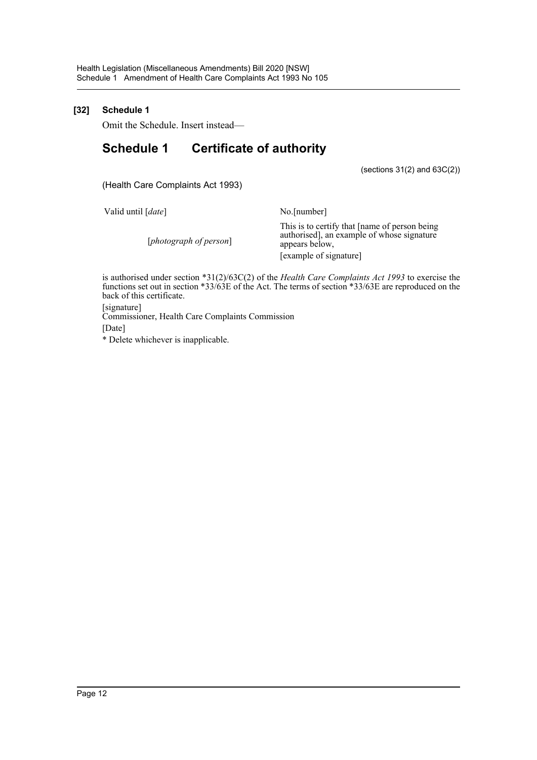# **[32] Schedule 1**

Omit the Schedule. Insert instead—

# **Schedule 1 Certificate of authority**

(sections 31(2) and 63C(2))

(Health Care Complaints Act 1993)

Valid until [*date*] No.[number]

This is to certify that [name of person being authorised], an example of whose signature appears below, [example of signature]

is authorised under section \*31(2)/63C(2) of the *Health Care Complaints Act 1993* to exercise the functions set out in section \*33/63E of the Act. The terms of section \*33/63E are reproduced on the back of this certificate.

[signature] Commissioner, Health Care Complaints Commission [Date] \* Delete whichever is inapplicable.

[*photograph of person*]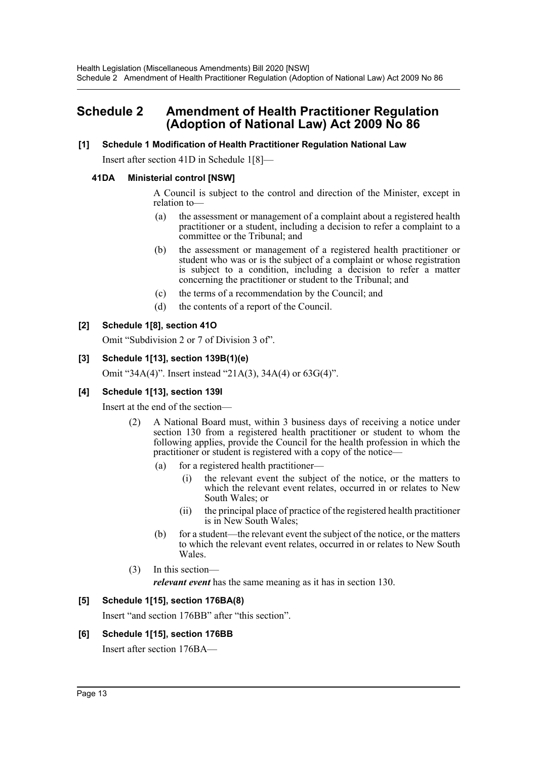# <span id="page-13-0"></span>**Schedule 2 Amendment of Health Practitioner Regulation (Adoption of National Law) Act 2009 No 86**

## **[1] Schedule 1 Modification of Health Practitioner Regulation National Law**

Insert after section 41D in Schedule 1[8]—

## **41DA Ministerial control [NSW]**

A Council is subject to the control and direction of the Minister, except in relation to—

- (a) the assessment or management of a complaint about a registered health practitioner or a student, including a decision to refer a complaint to a committee or the Tribunal; and
- (b) the assessment or management of a registered health practitioner or student who was or is the subject of a complaint or whose registration is subject to a condition, including a decision to refer a matter concerning the practitioner or student to the Tribunal; and
- (c) the terms of a recommendation by the Council; and
- (d) the contents of a report of the Council.

# **[2] Schedule 1[8], section 41O**

Omit "Subdivision 2 or 7 of Division 3 of".

# **[3] Schedule 1[13], section 139B(1)(e)**

Omit "34A(4)". Insert instead "21A(3), 34A(4) or 63G(4)".

# **[4] Schedule 1[13], section 139I**

Insert at the end of the section—

- (2) A National Board must, within 3 business days of receiving a notice under section 130 from a registered health practitioner or student to whom the following applies, provide the Council for the health profession in which the practitioner or student is registered with a copy of the notice—
	- (a) for a registered health practitioner—
		- (i) the relevant event the subject of the notice, or the matters to which the relevant event relates, occurred in or relates to New South Wales; or
		- (ii) the principal place of practice of the registered health practitioner is in New South Wales;
	- (b) for a student—the relevant event the subject of the notice, or the matters to which the relevant event relates, occurred in or relates to New South Wales.
- (3) In this section
	- *relevant event* has the same meaning as it has in section 130.

# **[5] Schedule 1[15], section 176BA(8)**

Insert "and section 176BB" after "this section".

# **[6] Schedule 1[15], section 176BB**

Insert after section 176BA—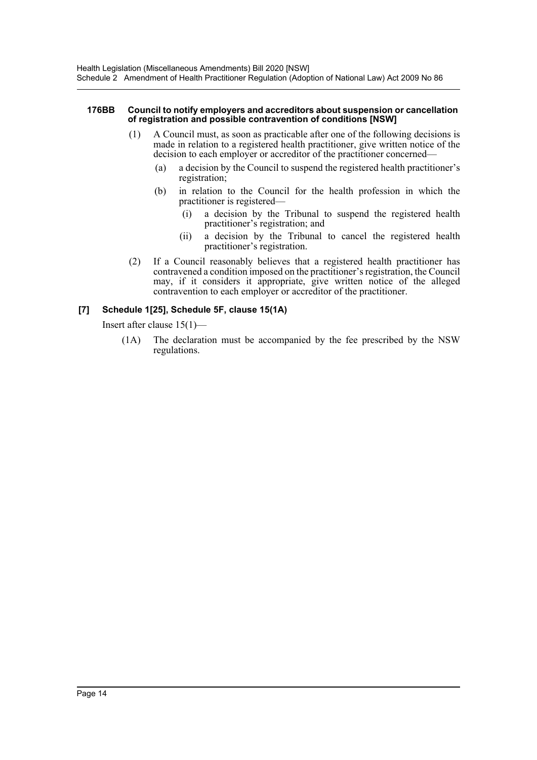#### **176BB Council to notify employers and accreditors about suspension or cancellation of registration and possible contravention of conditions [NSW]**

- (1) A Council must, as soon as practicable after one of the following decisions is made in relation to a registered health practitioner, give written notice of the decision to each employer or accreditor of the practitioner concerned—
	- (a) a decision by the Council to suspend the registered health practitioner's registration;
	- (b) in relation to the Council for the health profession in which the practitioner is registered—
		- (i) a decision by the Tribunal to suspend the registered health practitioner's registration; and
		- (ii) a decision by the Tribunal to cancel the registered health practitioner's registration.
- (2) If a Council reasonably believes that a registered health practitioner has contravened a condition imposed on the practitioner's registration, the Council may, if it considers it appropriate, give written notice of the alleged contravention to each employer or accreditor of the practitioner.

# **[7] Schedule 1[25], Schedule 5F, clause 15(1A)**

Insert after clause 15(1)—

(1A) The declaration must be accompanied by the fee prescribed by the NSW regulations.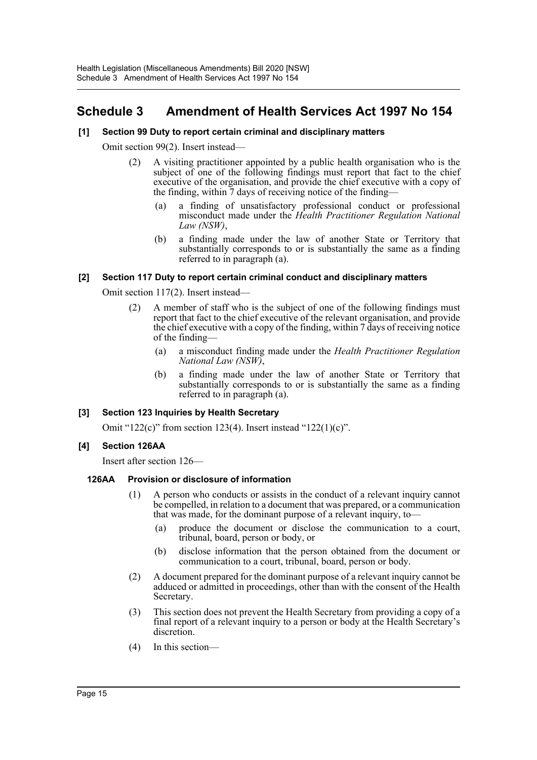# <span id="page-15-0"></span>**Schedule 3 Amendment of Health Services Act 1997 No 154**

# **[1] Section 99 Duty to report certain criminal and disciplinary matters**

Omit section 99(2). Insert instead—

- (2) A visiting practitioner appointed by a public health organisation who is the subject of one of the following findings must report that fact to the chief executive of the organisation, and provide the chief executive with a copy of the finding, within  $\overline{7}$  days of receiving notice of the finding—
	- (a) a finding of unsatisfactory professional conduct or professional misconduct made under the *Health Practitioner Regulation National Law (NSW)*,
	- (b) a finding made under the law of another State or Territory that substantially corresponds to or is substantially the same as a finding referred to in paragraph (a).

## **[2] Section 117 Duty to report certain criminal conduct and disciplinary matters**

Omit section 117(2). Insert instead—

- (2) A member of staff who is the subject of one of the following findings must report that fact to the chief executive of the relevant organisation, and provide the chief executive with a copy of the finding, within 7 days of receiving notice of the finding—
	- (a) a misconduct finding made under the *Health Practitioner Regulation National Law (NSW)*,
	- (b) a finding made under the law of another State or Territory that substantially corresponds to or is substantially the same as a finding referred to in paragraph (a).

#### **[3] Section 123 Inquiries by Health Secretary**

Omit "122(c)" from section 123(4). Insert instead "122(1)(c)".

#### **[4] Section 126AA**

Insert after section 126—

#### **126AA Provision or disclosure of information**

- (1) A person who conducts or assists in the conduct of a relevant inquiry cannot be compelled, in relation to a document that was prepared, or a communication that was made, for the dominant purpose of a relevant inquiry, to—
	- (a) produce the document or disclose the communication to a court, tribunal, board, person or body, or
	- (b) disclose information that the person obtained from the document or communication to a court, tribunal, board, person or body.
- (2) A document prepared for the dominant purpose of a relevant inquiry cannot be adduced or admitted in proceedings, other than with the consent of the Health Secretary.
- (3) This section does not prevent the Health Secretary from providing a copy of a final report of a relevant inquiry to a person or body at the Health Secretary's discretion.
- (4) In this section—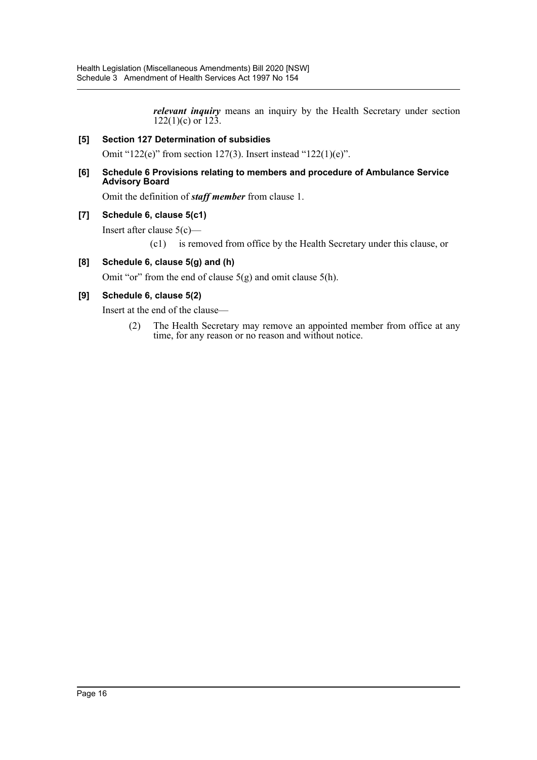*relevant inquiry* means an inquiry by the Health Secretary under section 122(1)(c) or 123.

# **[5] Section 127 Determination of subsidies**

Omit "122(e)" from section 127(3). Insert instead "122(1)(e)".

#### **[6] Schedule 6 Provisions relating to members and procedure of Ambulance Service Advisory Board**

Omit the definition of *staff member* from clause 1.

## **[7] Schedule 6, clause 5(c1)**

Insert after clause 5(c)—

(c1) is removed from office by the Health Secretary under this clause, or

# **[8] Schedule 6, clause 5(g) and (h)**

Omit "or" from the end of clause 5(g) and omit clause 5(h).

# **[9] Schedule 6, clause 5(2)**

Insert at the end of the clause—

(2) The Health Secretary may remove an appointed member from office at any time, for any reason or no reason and without notice.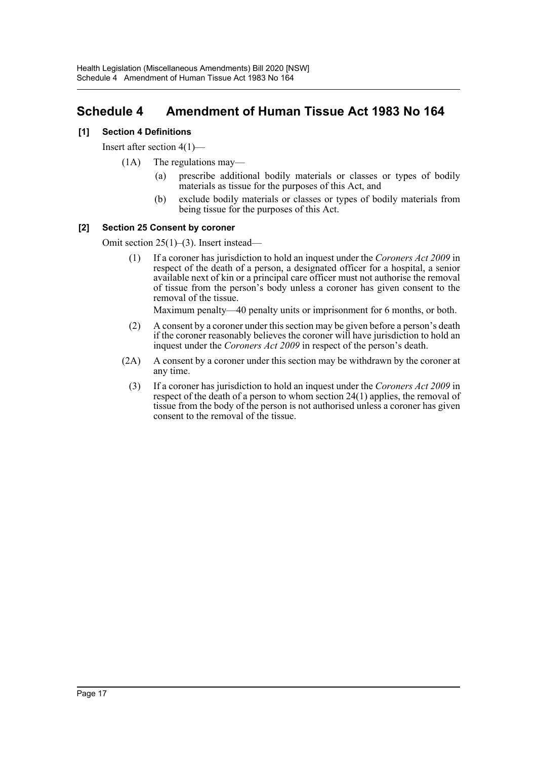# <span id="page-17-0"></span>**Schedule 4 Amendment of Human Tissue Act 1983 No 164**

# **[1] Section 4 Definitions**

Insert after section 4(1)—

- (1A) The regulations may—
	- (a) prescribe additional bodily materials or classes or types of bodily materials as tissue for the purposes of this Act, and
	- (b) exclude bodily materials or classes or types of bodily materials from being tissue for the purposes of this Act.

# **[2] Section 25 Consent by coroner**

Omit section 25(1)–(3). Insert instead—

(1) If a coroner has jurisdiction to hold an inquest under the *Coroners Act 2009* in respect of the death of a person, a designated officer for a hospital, a senior available next of kin or a principal care officer must not authorise the removal of tissue from the person's body unless a coroner has given consent to the removal of the tissue.

Maximum penalty—40 penalty units or imprisonment for 6 months, or both.

- (2) A consent by a coroner under this section may be given before a person's death if the coroner reasonably believes the coroner will have jurisdiction to hold an inquest under the *Coroners Act 2009* in respect of the person's death.
- (2A) A consent by a coroner under this section may be withdrawn by the coroner at any time.
	- (3) If a coroner has jurisdiction to hold an inquest under the *Coroners Act 2009* in respect of the death of a person to whom section 24(1) applies, the removal of tissue from the body of the person is not authorised unless a coroner has given consent to the removal of the tissue.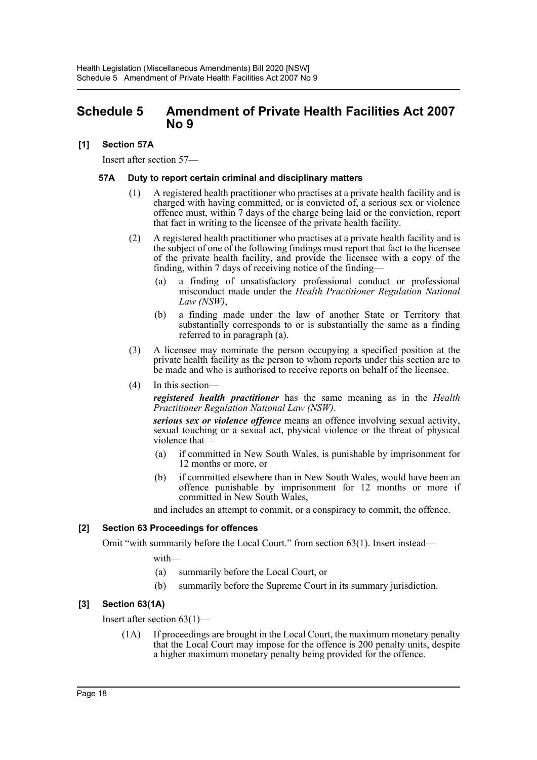# <span id="page-18-0"></span>**Schedule 5 Amendment of Private Health Facilities Act 2007 No 9**

# **[1] Section 57A**

Insert after section 57—

#### **57A Duty to report certain criminal and disciplinary matters**

- (1) A registered health practitioner who practises at a private health facility and is charged with having committed, or is convicted of, a serious sex or violence offence must, within 7 days of the charge being laid or the conviction, report that fact in writing to the licensee of the private health facility.
- (2) A registered health practitioner who practises at a private health facility and is the subject of one of the following findings must report that fact to the licensee of the private health facility, and provide the licensee with a copy of the finding, within 7 days of receiving notice of the finding—
	- (a) a finding of unsatisfactory professional conduct or professional misconduct made under the *Health Practitioner Regulation National Law (NSW)*,
	- (b) a finding made under the law of another State or Territory that substantially corresponds to or is substantially the same as a finding referred to in paragraph (a).
- (3) A licensee may nominate the person occupying a specified position at the private health facility as the person to whom reports under this section are to be made and who is authorised to receive reports on behalf of the licensee.
- (4) In this section—

*registered health practitioner* has the same meaning as in the *Health Practitioner Regulation National Law (NSW)*.

*serious sex or violence offence* means an offence involving sexual activity, sexual touching or a sexual act, physical violence or the threat of physical violence that—

- (a) if committed in New South Wales, is punishable by imprisonment for 12 months or more, or
- (b) if committed elsewhere than in New South Wales, would have been an offence punishable by imprisonment for 12 months or more if committed in New South Wales,

and includes an attempt to commit, or a conspiracy to commit, the offence.

# **[2] Section 63 Proceedings for offences**

Omit "with summarily before the Local Court." from section 63(1). Insert instead—

with—

- (a) summarily before the Local Court, or
- (b) summarily before the Supreme Court in its summary jurisdiction.

# **[3] Section 63(1A)**

Insert after section 63(1)—

(1A) If proceedings are brought in the Local Court, the maximum monetary penalty that the Local Court may impose for the offence is 200 penalty units, despite a higher maximum monetary penalty being provided for the offence.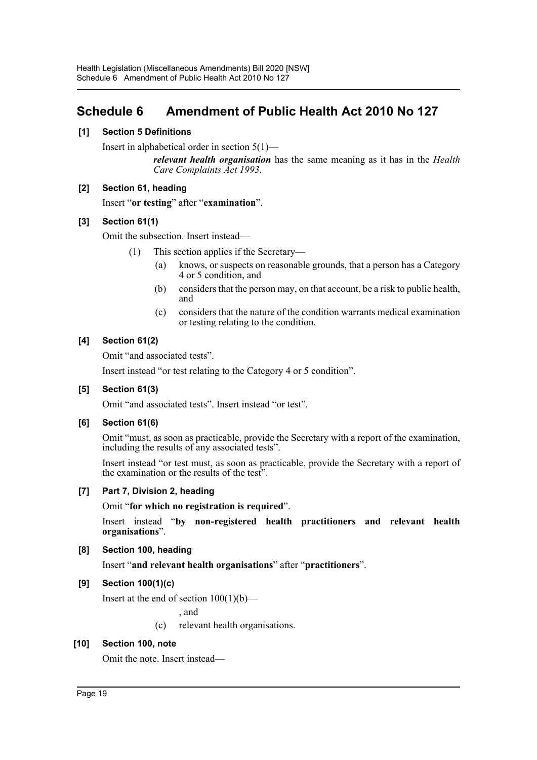# <span id="page-19-0"></span>**Schedule 6 Amendment of Public Health Act 2010 No 127**

# **[1] Section 5 Definitions**

Insert in alphabetical order in section 5(1)—

*relevant health organisation* has the same meaning as it has in the *Health Care Complaints Act 1993*.

## **[2] Section 61, heading**

Insert "**or testing**" after "**examination**".

# **[3] Section 61(1)**

Omit the subsection. Insert instead—

- (1) This section applies if the Secretary—
	- (a) knows, or suspects on reasonable grounds, that a person has a Category 4 or 5 condition, and
	- (b) considers that the person may, on that account, be a risk to public health, and
	- (c) considers that the nature of the condition warrants medical examination or testing relating to the condition.

## **[4] Section 61(2)**

Omit "and associated tests".

Insert instead "or test relating to the Category 4 or 5 condition".

#### **[5] Section 61(3)**

Omit "and associated tests". Insert instead "or test".

#### **[6] Section 61(6)**

Omit "must, as soon as practicable, provide the Secretary with a report of the examination, including the results of any associated tests".

Insert instead "or test must, as soon as practicable, provide the Secretary with a report of the examination or the results of the test".

# **[7] Part 7, Division 2, heading**

Omit "**for which no registration is required**".

Insert instead "**by non-registered health practitioners and relevant health organisations**".

# **[8] Section 100, heading**

Insert "**and relevant health organisations**" after "**practitioners**".

# **[9] Section 100(1)(c)**

Insert at the end of section  $100(1)(b)$ —

, and

(c) relevant health organisations.

# **[10] Section 100, note**

Omit the note. Insert instead—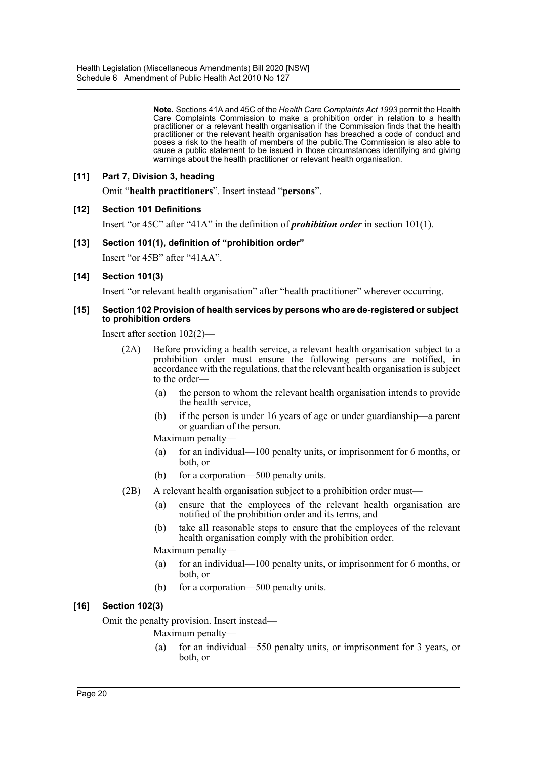**Note.** Sections 41A and 45C of the *Health Care Complaints Act 1993* permit the Health Care Complaints Commission to make a prohibition order in relation to a health practitioner or a relevant health organisation if the Commission finds that the health practitioner or the relevant health organisation has breached a code of conduct and poses a risk to the health of members of the public.The Commission is also able to cause a public statement to be issued in those circumstances identifying and giving warnings about the health practitioner or relevant health organisation.

## **[11] Part 7, Division 3, heading**

Omit "**health practitioners**". Insert instead "**persons**".

#### **[12] Section 101 Definitions**

Insert "or 45C" after "41A" in the definition of *prohibition order* in section 101(1).

#### **[13] Section 101(1), definition of "prohibition order"**

Insert "or 45B" after "41AA".

#### **[14] Section 101(3)**

Insert "or relevant health organisation" after "health practitioner" wherever occurring.

#### **[15] Section 102 Provision of health services by persons who are de-registered or subject to prohibition orders**

Insert after section 102(2)—

- (2A) Before providing a health service, a relevant health organisation subject to a prohibition order must ensure the following persons are notified, in accordance with the regulations, that the relevant health organisation is subject to the order—
	- (a) the person to whom the relevant health organisation intends to provide the health service,
	- (b) if the person is under 16 years of age or under guardianship—a parent or guardian of the person.

Maximum penalty—

- (a) for an individual—100 penalty units, or imprisonment for 6 months, or both, or
- (b) for a corporation—500 penalty units.
- (2B) A relevant health organisation subject to a prohibition order must—
	- (a) ensure that the employees of the relevant health organisation are notified of the prohibition order and its terms, and
	- (b) take all reasonable steps to ensure that the employees of the relevant health organisation comply with the prohibition order.

Maximum penalty—

- (a) for an individual—100 penalty units, or imprisonment for 6 months, or both, or
- (b) for a corporation—500 penalty units.

#### **[16] Section 102(3)**

Omit the penalty provision. Insert instead—

Maximum penalty—

(a) for an individual—550 penalty units, or imprisonment for 3 years, or both, or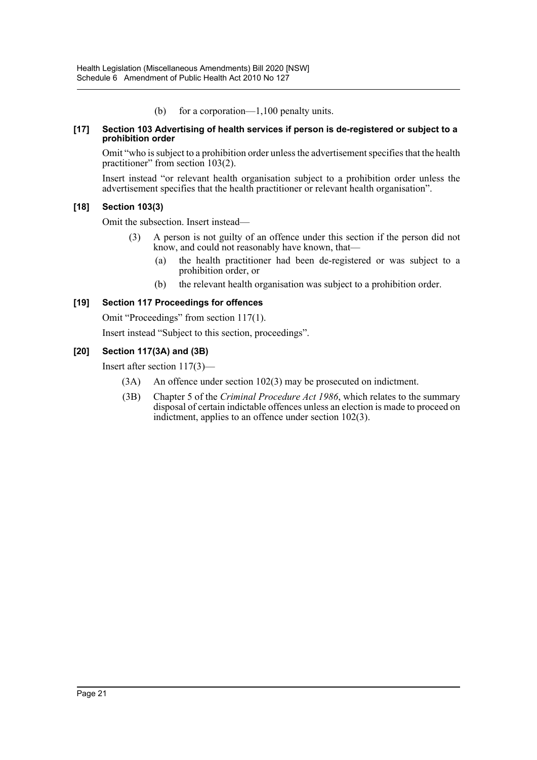(b) for a corporation—1,100 penalty units.

#### **[17] Section 103 Advertising of health services if person is de-registered or subject to a prohibition order**

Omit "who is subject to a prohibition order unless the advertisement specifies that the health practitioner" from section 103(2).

Insert instead "or relevant health organisation subject to a prohibition order unless the advertisement specifies that the health practitioner or relevant health organisation".

## **[18] Section 103(3)**

Omit the subsection. Insert instead—

- (3) A person is not guilty of an offence under this section if the person did not know, and could not reasonably have known, that—
	- (a) the health practitioner had been de-registered or was subject to a prohibition order, or
	- (b) the relevant health organisation was subject to a prohibition order.

## **[19] Section 117 Proceedings for offences**

Omit "Proceedings" from section 117(1).

Insert instead "Subject to this section, proceedings".

# **[20] Section 117(3A) and (3B)**

Insert after section 117(3)—

- (3A) An offence under section 102(3) may be prosecuted on indictment.
- (3B) Chapter 5 of the *Criminal Procedure Act 1986*, which relates to the summary disposal of certain indictable offences unless an election is made to proceed on indictment, applies to an offence under section 102(3).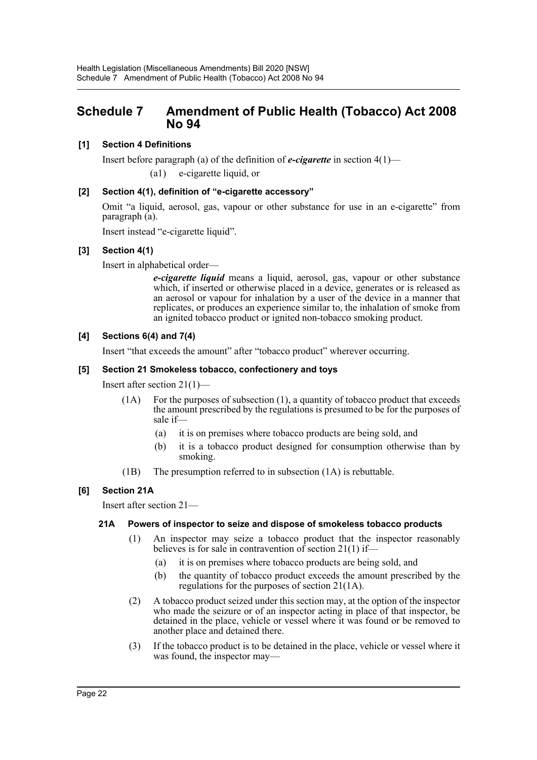# <span id="page-22-0"></span>**Schedule 7 Amendment of Public Health (Tobacco) Act 2008 No 94**

# **[1] Section 4 Definitions**

Insert before paragraph (a) of the definition of *e-cigarette* in section 4(1)—

(a1) e-cigarette liquid, or

## **[2] Section 4(1), definition of "e-cigarette accessory"**

Omit "a liquid, aerosol, gas, vapour or other substance for use in an e-cigarette" from paragraph (a).

Insert instead "e-cigarette liquid".

# **[3] Section 4(1)**

Insert in alphabetical order—

*e-cigarette liquid* means a liquid, aerosol, gas, vapour or other substance which, if inserted or otherwise placed in a device, generates or is released as an aerosol or vapour for inhalation by a user of the device in a manner that replicates, or produces an experience similar to, the inhalation of smoke from an ignited tobacco product or ignited non-tobacco smoking product.

## **[4] Sections 6(4) and 7(4)**

Insert "that exceeds the amount" after "tobacco product" wherever occurring.

## **[5] Section 21 Smokeless tobacco, confectionery and toys**

Insert after section 21(1)—

- (1A) For the purposes of subsection (1), a quantity of tobacco product that exceeds the amount prescribed by the regulations is presumed to be for the purposes of sale if—
	- (a) it is on premises where tobacco products are being sold, and
	- (b) it is a tobacco product designed for consumption otherwise than by smoking.
- (1B) The presumption referred to in subsection (1A) is rebuttable.

# **[6] Section 21A**

Insert after section 21—

#### **21A Powers of inspector to seize and dispose of smokeless tobacco products**

- (1) An inspector may seize a tobacco product that the inspector reasonably believes is for sale in contravention of section 21(1) if—
	- (a) it is on premises where tobacco products are being sold, and
	- (b) the quantity of tobacco product exceeds the amount prescribed by the regulations for the purposes of section 21(1A).
- (2) A tobacco product seized under this section may, at the option of the inspector who made the seizure or of an inspector acting in place of that inspector, be detained in the place, vehicle or vessel where it was found or be removed to another place and detained there.
- (3) If the tobacco product is to be detained in the place, vehicle or vessel where it was found, the inspector may—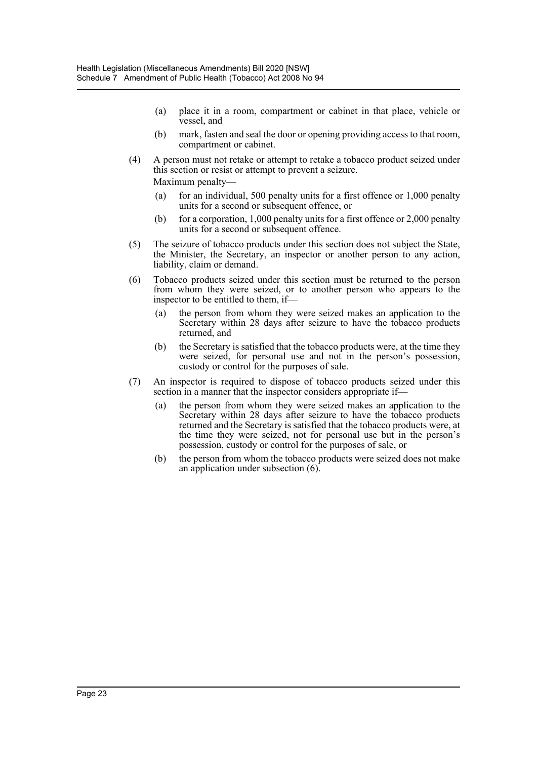- (a) place it in a room, compartment or cabinet in that place, vehicle or vessel, and
- (b) mark, fasten and seal the door or opening providing access to that room, compartment or cabinet.
- (4) A person must not retake or attempt to retake a tobacco product seized under this section or resist or attempt to prevent a seizure.

Maximum penalty—

- (a) for an individual, 500 penalty units for a first offence or  $1,000$  penalty units for a second or subsequent offence, or
- (b) for a corporation,  $1,000$  penalty units for a first offence or  $2,000$  penalty units for a second or subsequent offence.
- (5) The seizure of tobacco products under this section does not subject the State, the Minister, the Secretary, an inspector or another person to any action, liability, claim or demand.
- (6) Tobacco products seized under this section must be returned to the person from whom they were seized, or to another person who appears to the inspector to be entitled to them, if—
	- (a) the person from whom they were seized makes an application to the Secretary within 28 days after seizure to have the tobacco products returned, and
	- (b) the Secretary is satisfied that the tobacco products were, at the time they were seized, for personal use and not in the person's possession, custody or control for the purposes of sale.
- (7) An inspector is required to dispose of tobacco products seized under this section in a manner that the inspector considers appropriate if—
	- (a) the person from whom they were seized makes an application to the Secretary within 28 days after seizure to have the tobacco products returned and the Secretary is satisfied that the tobacco products were, at the time they were seized, not for personal use but in the person's possession, custody or control for the purposes of sale, or
	- (b) the person from whom the tobacco products were seized does not make an application under subsection (6).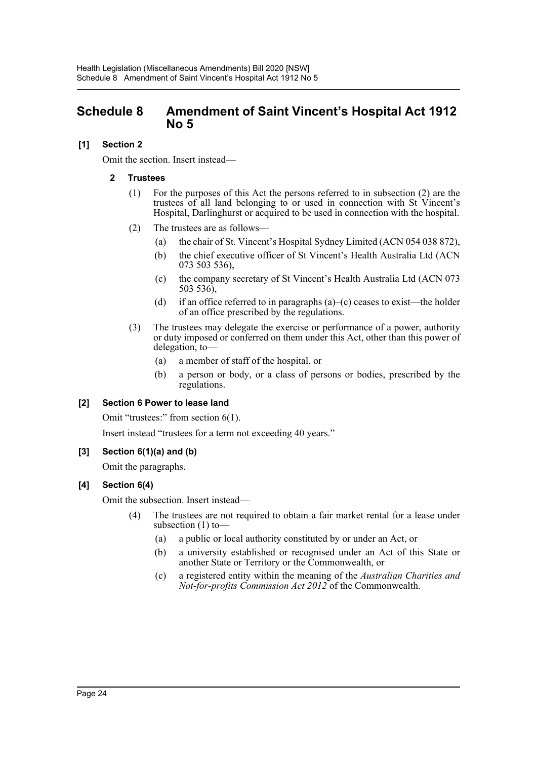# <span id="page-24-0"></span>**Schedule 8 Amendment of Saint Vincent's Hospital Act 1912 No 5**

# **[1] Section 2**

Omit the section. Insert instead—

## **2 Trustees**

- (1) For the purposes of this Act the persons referred to in subsection (2) are the trustees of all land belonging to or used in connection with St Vincent's Hospital, Darlinghurst or acquired to be used in connection with the hospital.
- (2) The trustees are as follows—
	- (a) the chair of St. Vincent's Hospital Sydney Limited (ACN 054 038 872),
	- (b) the chief executive officer of St Vincent's Health Australia Ltd (ACN 073 503 536),
	- (c) the company secretary of St Vincent's Health Australia Ltd (ACN 073 503 536),
	- (d) if an office referred to in paragraphs  $(a)$ –(c) ceases to exist—the holder of an office prescribed by the regulations.
- (3) The trustees may delegate the exercise or performance of a power, authority or duty imposed or conferred on them under this Act, other than this power of delegation, to—
	- (a) a member of staff of the hospital, or
	- (b) a person or body, or a class of persons or bodies, prescribed by the regulations.

# **[2] Section 6 Power to lease land**

Omit "trustees:" from section 6(1).

Insert instead "trustees for a term not exceeding 40 years."

#### **[3] Section 6(1)(a) and (b)**

Omit the paragraphs.

# **[4] Section 6(4)**

Omit the subsection. Insert instead—

- (4) The trustees are not required to obtain a fair market rental for a lease under subsection (1) to—
	- (a) a public or local authority constituted by or under an Act, or
	- (b) a university established or recognised under an Act of this State or another State or Territory or the Commonwealth, or
	- (c) a registered entity within the meaning of the *Australian Charities and Not-for-profits Commission Act 2012* of the Commonwealth.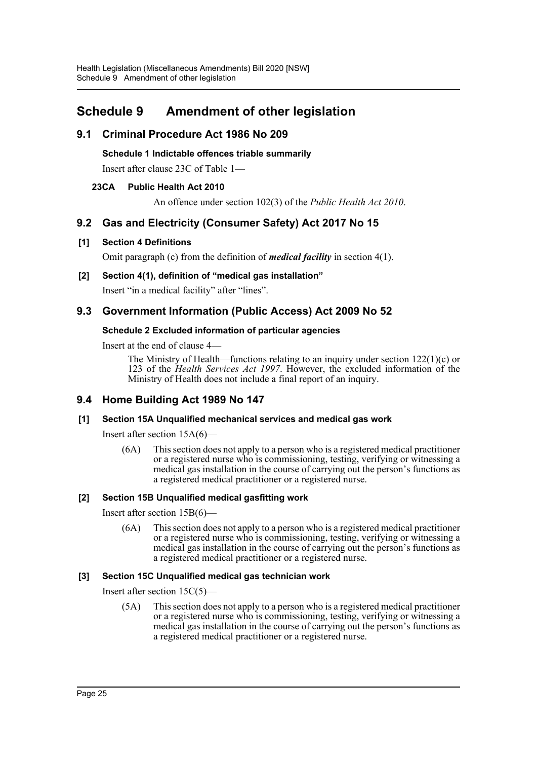# <span id="page-25-0"></span>**Schedule 9 Amendment of other legislation**

# **9.1 Criminal Procedure Act 1986 No 209**

**Schedule 1 Indictable offences triable summarily**

Insert after clause 23C of Table 1—

# **23CA Public Health Act 2010**

An offence under section 102(3) of the *Public Health Act 2010*.

# **9.2 Gas and Electricity (Consumer Safety) Act 2017 No 15**

## **[1] Section 4 Definitions**

Omit paragraph (c) from the definition of *medical facility* in section 4(1).

**[2] Section 4(1), definition of "medical gas installation"** Insert "in a medical facility" after "lines".

# **9.3 Government Information (Public Access) Act 2009 No 52**

## **Schedule 2 Excluded information of particular agencies**

Insert at the end of clause 4—

The Ministry of Health—functions relating to an inquiry under section 122(1)(c) or 123 of the *Health Services Act 1997*. However, the excluded information of the Ministry of Health does not include a final report of an inquiry.

# **9.4 Home Building Act 1989 No 147**

# **[1] Section 15A Unqualified mechanical services and medical gas work**

Insert after section 15A(6)—

(6A) This section does not apply to a person who is a registered medical practitioner or a registered nurse who is commissioning, testing, verifying or witnessing a medical gas installation in the course of carrying out the person's functions as a registered medical practitioner or a registered nurse.

# **[2] Section 15B Unqualified medical gasfitting work**

Insert after section 15B(6)—

(6A) This section does not apply to a person who is a registered medical practitioner or a registered nurse who is commissioning, testing, verifying or witnessing a medical gas installation in the course of carrying out the person's functions as a registered medical practitioner or a registered nurse.

#### **[3] Section 15C Unqualified medical gas technician work**

Insert after section 15C(5)—

(5A) This section does not apply to a person who is a registered medical practitioner or a registered nurse who is commissioning, testing, verifying or witnessing a medical gas installation in the course of carrying out the person's functions as a registered medical practitioner or a registered nurse.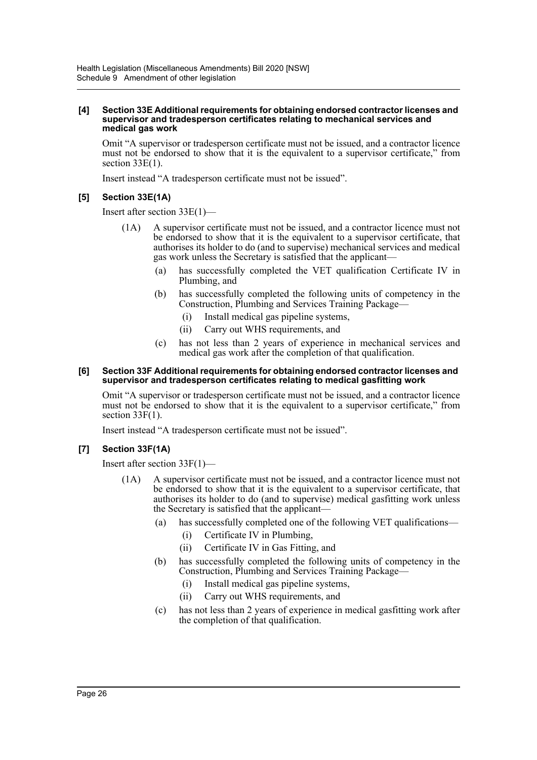#### **[4] Section 33E Additional requirements for obtaining endorsed contractor licenses and supervisor and tradesperson certificates relating to mechanical services and medical gas work**

Omit "A supervisor or tradesperson certificate must not be issued, and a contractor licence must not be endorsed to show that it is the equivalent to a supervisor certificate," from section  $33E(1)$ .

Insert instead "A tradesperson certificate must not be issued".

# **[5] Section 33E(1A)**

Insert after section 33E(1)—

- (1A) A supervisor certificate must not be issued, and a contractor licence must not be endorsed to show that it is the equivalent to a supervisor certificate, that authorises its holder to do (and to supervise) mechanical services and medical gas work unless the Secretary is satisfied that the applicant—
	- (a) has successfully completed the VET qualification Certificate IV in Plumbing, and
	- (b) has successfully completed the following units of competency in the Construction, Plumbing and Services Training Package—
		- (i) Install medical gas pipeline systems,
		- (ii) Carry out WHS requirements, and
	- (c) has not less than 2 years of experience in mechanical services and medical gas work after the completion of that qualification.

#### **[6] Section 33F Additional requirements for obtaining endorsed contractor licenses and supervisor and tradesperson certificates relating to medical gasfitting work**

Omit "A supervisor or tradesperson certificate must not be issued, and a contractor licence must not be endorsed to show that it is the equivalent to a supervisor certificate," from section 33F(1).

Insert instead "A tradesperson certificate must not be issued".

# **[7] Section 33F(1A)**

Insert after section 33F(1)—

- (1A) A supervisor certificate must not be issued, and a contractor licence must not be endorsed to show that it is the equivalent to a supervisor certificate, that authorises its holder to do (and to supervise) medical gasfitting work unless the Secretary is satisfied that the applicant—
	- (a) has successfully completed one of the following VET qualifications—
		- (i) Certificate IV in Plumbing,
		- (ii) Certificate IV in Gas Fitting, and
	- (b) has successfully completed the following units of competency in the Construction, Plumbing and Services Training Package—
		- (i) Install medical gas pipeline systems,
		- (ii) Carry out WHS requirements, and
	- (c) has not less than 2 years of experience in medical gasfitting work after the completion of that qualification.